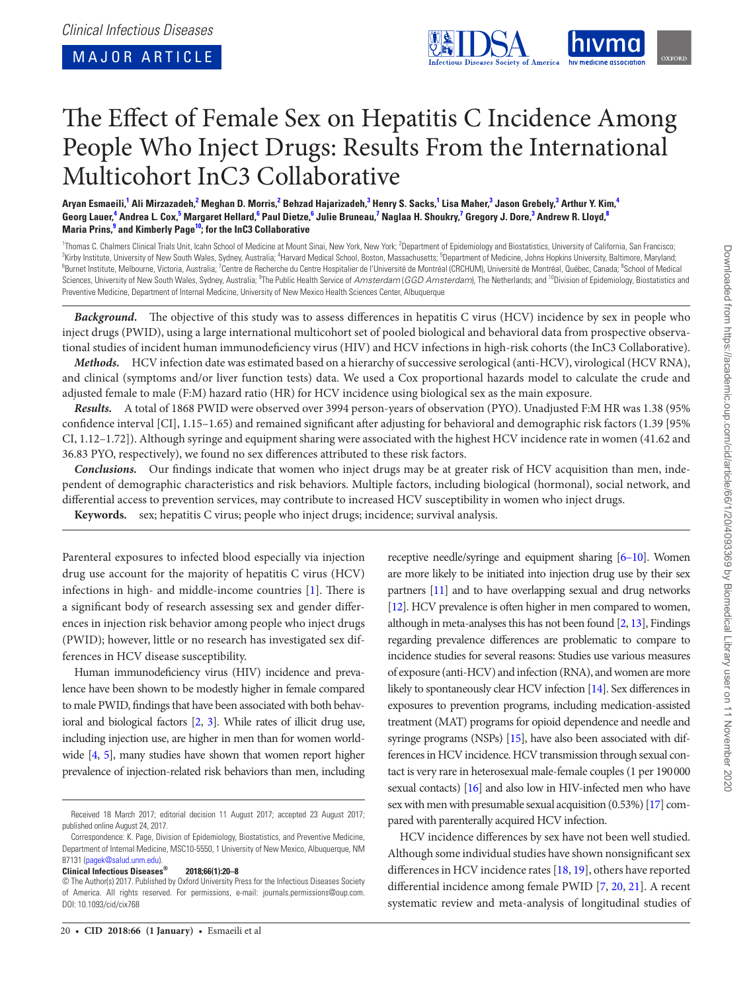

# The Effect of Female Sex on Hepatitis C Incidence Among People Who Inject Drugs: Results From the International Multicohort InC3 Collaborative

# Aryan Esmaeili,<sup>1</sup> Ali Mirzazadeh,<sup>2</sup> Meghan D. Morris,<sup>2</sup> Behzad Hajarizadeh,<sup>3</sup> Henry S. Sacks,<sup>1</sup> Lisa Maher,<sup>3</sup> Jason Grebely,<sup>3</sup> Arthur Y. Kim,<sup>4</sup>  $\bf{G}$ eorg Lauer, $^4$  Andrea L. Cox, $^5$  Margaret Hellard, $^6$  Paul Dietze, $^6$  Julie Bruneau, $^7$  Naglaa H. Shoukry, $^7$  Gregory J. Dore, $^3$  Andrew R. Lloyd, $^8$ **Maria Prins,<sup>9</sup> and Kimberly Page10; for the InC3 Collaborative**

<sup>1</sup>Thomas C. Chalmers Clinical Trials Unit, Icahn School of Medicine at Mount Sinai, New York, New York; <sup>2</sup>Department of Epidemiology and Biostatistics, University of California, San Francisco;<br><sup>3</sup>Kirby Institute, Univers Kirby Institute, University of New South Wales, Sydney, Australia; <sup>4</sup>Harvard Medical School, Boston, Massachusetts; <sup>5</sup> <sup>3</sup>Kirby Institute, University of New South Wales, Sydney, Australia; <sup>4</sup>Harvard Medical School, Boston, Massachusetts; <sup>5</sup>Department of Medicine, Johns Hopkins University, Baltimore, Maryland;<br><sup>6</sup>Burnet Institute, Melbour Sciences, University of New South Wales, Sydney, Australia; <sup>9</sup>The Public Health Service of *Amsterdam* (*GGD Amsterdam*), The Netherlands; and <sup>10</sup>Division of Epidemiology, Biostatistics and Preventive Medicine, Department of Internal Medicine, University of New Mexico Health Sciences Center, Albuquerque

*Background.* The objective of this study was to assess differences in hepatitis C virus (HCV) incidence by sex in people who inject drugs (PWID), using a large international multicohort set of pooled biological and behavioral data from prospective observational studies of incident human immunodeficiency virus (HIV) and HCV infections in high-risk cohorts (the InC3 Collaborative).

*Methods.* HCV infection date was estimated based on a hierarchy of successive serological (anti-HCV), virological (HCV RNA), and clinical (symptoms and/or liver function tests) data. We used a Cox proportional hazards model to calculate the crude and adjusted female to male (F:M) hazard ratio (HR) for HCV incidence using biological sex as the main exposure.

*Results.* A total of 1868 PWID were observed over 3994 person-years of observation (PYO). Unadjusted F:M HR was 1.38 (95% confidence interval [CI], 1.15–1.65) and remained significant after adjusting for behavioral and demographic risk factors (1.39 [95% CI, 1.12–1.72]). Although syringe and equipment sharing were associated with the highest HCV incidence rate in women (41.62 and 36.83 PYO, respectively), we found no sex differences attributed to these risk factors.

*Conclusions.* Our findings indicate that women who inject drugs may be at greater risk of HCV acquisition than men, independent of demographic characteristics and risk behaviors. Multiple factors, including biological (hormonal), social network, and differential access to prevention services, may contribute to increased HCV susceptibility in women who inject drugs.

**Keywords.** sex; hepatitis C virus; people who inject drugs; incidence; survival analysis.

Parenteral exposures to infected blood especially via injection drug use account for the majority of hepatitis C virus (HCV) infections in high- and middle-income countries [1]. There is a significant body of research assessing sex and gender differences in injection risk behavior among people who inject drugs (PWID); however, little or no research has investigated sex differences in HCV disease susceptibility.

Human immunodeficiency virus (HIV) incidence and prevalence have been shown to be modestly higher in female compared to male PWID, findings that have been associated with both behavioral and biological factors [2, 3]. While rates of illicit drug use, including injection use, are higher in men than for women worldwide [4, 5], many studies have shown that women report higher prevalence of injection-related risk behaviors than men, including

**Clinical Infectious Diseases® 2018;66(1):20–8**

receptive needle/syringe and equipment sharing [6–10]. Women are more likely to be initiated into injection drug use by their sex partners [11] and to have overlapping sexual and drug networks [12]. HCV prevalence is often higher in men compared to women, although in meta-analyses this has not been found [2, 13], Findings regarding prevalence differences are problematic to compare to incidence studies for several reasons: Studies use various measures of exposure (anti-HCV) and infection (RNA), and women are more likely to spontaneously clear HCV infection [14]. Sex differences in exposures to prevention programs, including medication-assisted treatment (MAT) programs for opioid dependence and needle and syringe programs (NSPs) [15], have also been associated with differences in HCV incidence. HCV transmission through sexual contact is very rare in heterosexual male-female couples (1 per 190000 sexual contacts) [16] and also low in HIV-infected men who have sex with men with presumable sexual acquisition (0.53%) [17] compared with parenterally acquired HCV infection.

HCV incidence differences by sex have not been well studied. Although some individual studies have shown nonsignificant sex differences in HCV incidence rates [18, 19], others have reported differential incidence among female PWID [7, 20, 21]. A recent systematic review and meta-analysis of longitudinal studies of

Received 18 March 2017; editorial decision 11 August 2017; accepted 23 August 2017; published online August 24, 2017.

Correspondence: K. Page, Division of Epidemiology, Biostatistics, and Preventive Medicine, Department of Internal Medicine, MSC10-5550, 1 University of New Mexico, Albuquerque, NM 87131 (pagek@salud.unm.edu).

<sup>©</sup> The Author(s) 2017. Published by Oxford University Press for the Infectious Diseases Society of America. All rights reserved. For permissions, e-mail: journals.permissions@oup.com. DOI: 10.1093/cid/cix768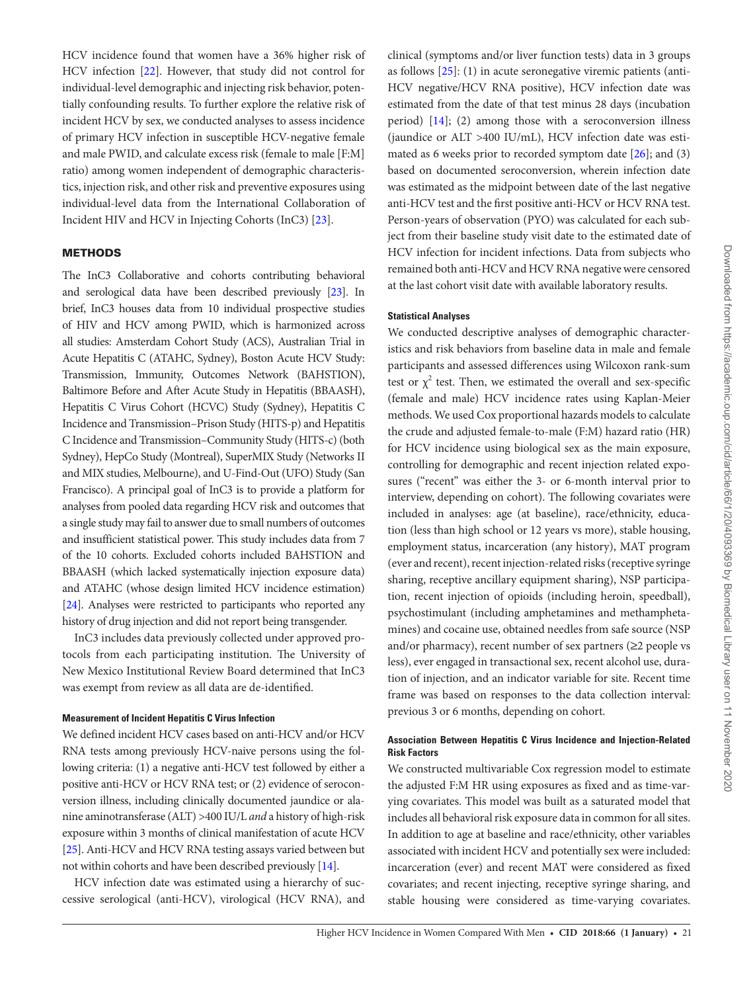HCV incidence found that women have a 36% higher risk of HCV infection [22]. However, that study did not control for individual-level demographic and injecting risk behavior, potentially confounding results. To further explore the relative risk of incident HCV by sex, we conducted analyses to assess incidence of primary HCV infection in susceptible HCV-negative female and male PWID, and calculate excess risk (female to male [F:M] ratio) among women independent of demographic characteristics, injection risk, and other risk and preventive exposures using individual-level data from the International Collaboration of Incident HIV and HCV in Injecting Cohorts (InC3) [23].

## **METHODS**

The InC3 Collaborative and cohorts contributing behavioral and serological data have been described previously [23]. In brief, InC3 houses data from 10 individual prospective studies of HIV and HCV among PWID, which is harmonized across all studies: Amsterdam Cohort Study (ACS), Australian Trial in Acute Hepatitis C (ATAHC, Sydney), Boston Acute HCV Study: Transmission, Immunity, Outcomes Network (BAHSTION), Baltimore Before and After Acute Study in Hepatitis (BBAASH), Hepatitis C Virus Cohort (HCVC) Study (Sydney), Hepatitis C Incidence and Transmission–Prison Study (HITS-p) and Hepatitis C Incidence and Transmission–Community Study (HITS-c) (both Sydney), HepCo Study (Montreal), SuperMIX Study (Networks II and MIX studies, Melbourne), and U-Find-Out (UFO) Study (San Francisco). A principal goal of InC3 is to provide a platform for analyses from pooled data regarding HCV risk and outcomes that a single study may fail to answer due to small numbers of outcomes and insufficient statistical power. This study includes data from 7 of the 10 cohorts. Excluded cohorts included BAHSTION and BBAASH (which lacked systematically injection exposure data) and ATAHC (whose design limited HCV incidence estimation) [24]. Analyses were restricted to participants who reported any history of drug injection and did not report being transgender.

InC3 includes data previously collected under approved protocols from each participating institution. The University of New Mexico Institutional Review Board determined that InC3 was exempt from review as all data are de-identified.

#### **Measurement of Incident Hepatitis C Virus Infection**

We defined incident HCV cases based on anti-HCV and/or HCV RNA tests among previously HCV-naive persons using the following criteria: (1) a negative anti-HCV test followed by either a positive anti-HCV or HCV RNA test; or (2) evidence of seroconversion illness, including clinically documented jaundice or alanine aminotransferase (ALT) >400 IU/L *and* a history of high-risk exposure within 3 months of clinical manifestation of acute HCV [25]. Anti-HCV and HCV RNA testing assays varied between but not within cohorts and have been described previously [14].

HCV infection date was estimated using a hierarchy of successive serological (anti-HCV), virological (HCV RNA), and

clinical (symptoms and/or liver function tests) data in 3 groups as follows [25]: (1) in acute seronegative viremic patients (anti-HCV negative/HCV RNA positive), HCV infection date was estimated from the date of that test minus 28 days (incubation period) [14]; (2) among those with a seroconversion illness (jaundice or ALT >400 IU/mL), HCV infection date was estimated as 6 weeks prior to recorded symptom date [26]; and (3) based on documented seroconversion, wherein infection date was estimated as the midpoint between date of the last negative anti-HCV test and the first positive anti-HCV or HCV RNA test. Person-years of observation (PYO) was calculated for each subject from their baseline study visit date to the estimated date of HCV infection for incident infections. Data from subjects who remained both anti-HCV and HCV RNA negative were censored at the last cohort visit date with available laboratory results.

## **Statistical Analyses**

We conducted descriptive analyses of demographic characteristics and risk behaviors from baseline data in male and female participants and assessed differences using Wilcoxon rank-sum test or  $\chi^2$  test. Then, we estimated the overall and sex-specific (female and male) HCV incidence rates using Kaplan-Meier methods. We used Cox proportional hazards models to calculate the crude and adjusted female-to-male (F:M) hazard ratio (HR) for HCV incidence using biological sex as the main exposure, controlling for demographic and recent injection related exposures ("recent" was either the 3- or 6-month interval prior to interview, depending on cohort). The following covariates were included in analyses: age (at baseline), race/ethnicity, education (less than high school or 12 years vs more), stable housing, employment status, incarceration (any history), MAT program (ever and recent), recent injection-related risks (receptive syringe sharing, receptive ancillary equipment sharing), NSP participation, recent injection of opioids (including heroin, speedball), psychostimulant (including amphetamines and methamphetamines) and cocaine use, obtained needles from safe source (NSP and/or pharmacy), recent number of sex partners (≥2 people vs less), ever engaged in transactional sex, recent alcohol use, duration of injection, and an indicator variable for site. Recent time frame was based on responses to the data collection interval: previous 3 or 6 months, depending on cohort.

## **Association Between Hepatitis C Virus Incidence and Injection-Related Risk Factors**

We constructed multivariable Cox regression model to estimate the adjusted F:M HR using exposures as fixed and as time-varying covariates. This model was built as a saturated model that includes all behavioral risk exposure data in common for all sites. In addition to age at baseline and race/ethnicity, other variables associated with incident HCV and potentially sex were included: incarceration (ever) and recent MAT were considered as fixed covariates; and recent injecting, receptive syringe sharing, and stable housing were considered as time-varying covariates.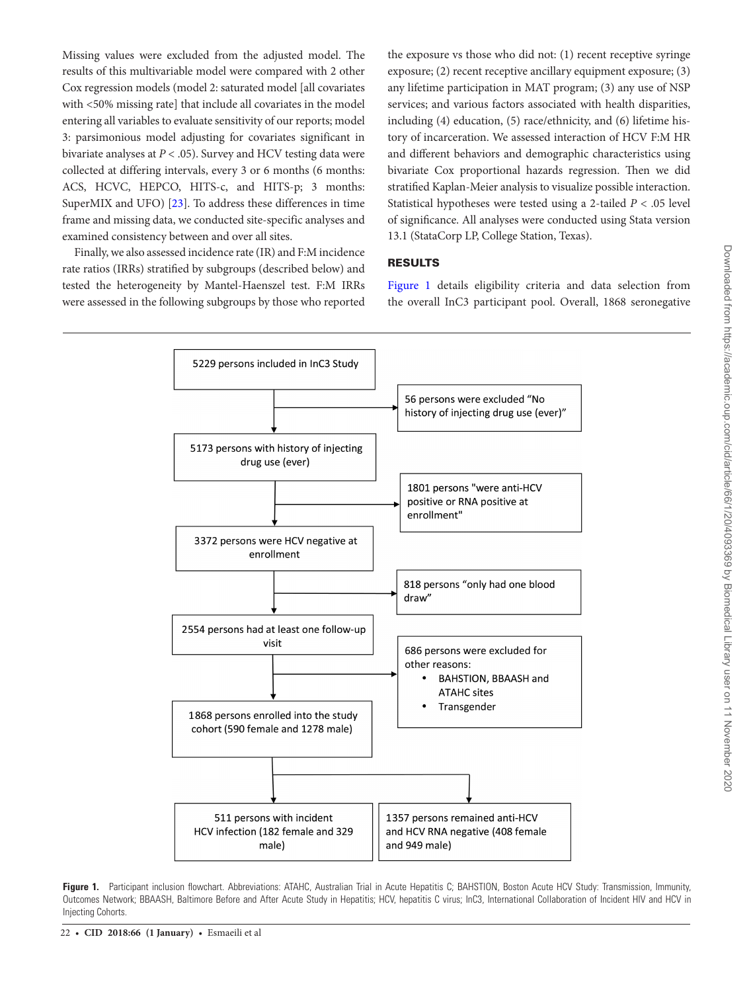Missing values were excluded from the adjusted model. The results of this multivariable model were compared with 2 other Cox regression models (model 2: saturated model [all covariates with <50% missing rate] that include all covariates in the model entering all variables to evaluate sensitivity of our reports; model 3: parsimonious model adjusting for covariates significant in bivariate analyses at *P* < .05). Survey and HCV testing data were collected at differing intervals, every 3 or 6 months (6 months: ACS, HCVC, HEPCO, HITS-c, and HITS-p; 3 months: SuperMIX and UFO) [23]. To address these differences in time frame and missing data, we conducted site-specific analyses and examined consistency between and over all sites.

Finally, we also assessed incidence rate (IR) and F:M incidence rate ratios (IRRs) stratified by subgroups (described below) and tested the heterogeneity by Mantel-Haenszel test. F:M IRRs were assessed in the following subgroups by those who reported

the exposure vs those who did not: (1) recent receptive syringe exposure; (2) recent receptive ancillary equipment exposure; (3) any lifetime participation in MAT program; (3) any use of NSP services; and various factors associated with health disparities, including (4) education, (5) race/ethnicity, and (6) lifetime history of incarceration. We assessed interaction of HCV F:M HR and different behaviors and demographic characteristics using bivariate Cox proportional hazards regression. Then we did stratified Kaplan-Meier analysis to visualize possible interaction. Statistical hypotheses were tested using a 2-tailed *P* < .05 level of significance. All analyses were conducted using Stata version 13.1 (StataCorp LP, College Station, Texas).

## RESULTS

Figure 1 details eligibility criteria and data selection from the overall InC3 participant pool. Overall, 1868 seronegative



Figure 1. Participant inclusion flowchart. Abbreviations: ATAHC, Australian Trial in Acute Hepatitis C; BAHSTION, Boston Acute HCV Study: Transmission, Immunity, Outcomes Network; BBAASH, Baltimore Before and After Acute Study in Hepatitis; HCV, hepatitis C virus; InC3, International Collaboration of Incident HIV and HCV in Injecting Cohorts.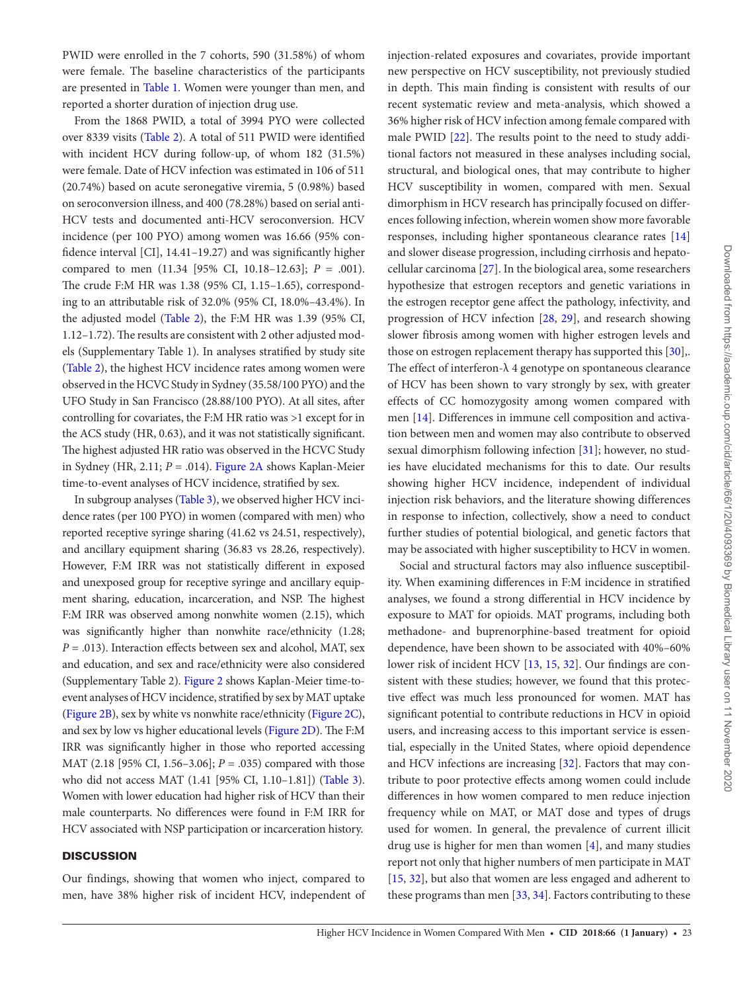PWID were enrolled in the 7 cohorts, 590 (31.58%) of whom were female. The baseline characteristics of the participants are presented in Table 1. Women were younger than men, and reported a shorter duration of injection drug use.

From the 1868 PWID, a total of 3994 PYO were collected over 8339 visits (Table 2). A total of 511 PWID were identified with incident HCV during follow-up, of whom 182 (31.5%) were female. Date of HCV infection was estimated in 106 of 511 (20.74%) based on acute seronegative viremia, 5 (0.98%) based on seroconversion illness, and 400 (78.28%) based on serial anti-HCV tests and documented anti-HCV seroconversion. HCV incidence (per 100 PYO) among women was 16.66 (95% confidence interval [CI], 14.41–19.27) and was significantly higher compared to men (11.34 [95% CI, 10.18-12.63]; *P* = .001). The crude F:M HR was 1.38 (95% CI, 1.15–1.65), corresponding to an attributable risk of 32.0% (95% CI, 18.0%–43.4%). In the adjusted model (Table 2), the F:M HR was 1.39 (95% CI, 1.12–1.72). The results are consistent with 2 other adjusted models (Supplementary Table 1). In analyses stratified by study site (Table 2), the highest HCV incidence rates among women were observed in the HCVC Study in Sydney (35.58/100 PYO) and the UFO Study in San Francisco (28.88/100 PYO). At all sites, after controlling for covariates, the F:M HR ratio was >1 except for in the ACS study (HR, 0.63), and it was not statistically significant. The highest adjusted HR ratio was observed in the HCVC Study in Sydney (HR, 2.11;  $P = .014$ ). Figure 2A shows Kaplan-Meier time-to-event analyses of HCV incidence, stratified by sex.

In subgroup analyses (Table 3), we observed higher HCV incidence rates (per 100 PYO) in women (compared with men) who reported receptive syringe sharing (41.62 vs 24.51, respectively), and ancillary equipment sharing (36.83 vs 28.26, respectively). However, F:M IRR was not statistically different in exposed and unexposed group for receptive syringe and ancillary equipment sharing, education, incarceration, and NSP. The highest F:M IRR was observed among nonwhite women (2.15), which was significantly higher than nonwhite race/ethnicity (1.28; *P* = .013). Interaction effects between sex and alcohol, MAT, sex and education, and sex and race/ethnicity were also considered (Supplementary Table 2). Figure 2 shows Kaplan-Meier time-toevent analyses of HCV incidence, stratified by sex by MAT uptake (Figure 2B), sex by white vs nonwhite race/ethnicity (Figure 2C), and sex by low vs higher educational levels (Figure 2D). The F:M IRR was significantly higher in those who reported accessing MAT (2.18 [95% CI, 1.56–3.06]; *P* = .035) compared with those who did not access MAT (1.41 [95% CI, 1.10–1.81]) (Table 3). Women with lower education had higher risk of HCV than their male counterparts. No differences were found in F:M IRR for HCV associated with NSP participation or incarceration history.

# **DISCUSSION**

Our findings, showing that women who inject, compared to men, have 38% higher risk of incident HCV, independent of injection-related exposures and covariates, provide important new perspective on HCV susceptibility, not previously studied in depth. This main finding is consistent with results of our recent systematic review and meta-analysis, which showed a 36% higher risk of HCV infection among female compared with male PWID [22]. The results point to the need to study additional factors not measured in these analyses including social, structural, and biological ones, that may contribute to higher HCV susceptibility in women, compared with men. Sexual dimorphism in HCV research has principally focused on differences following infection, wherein women show more favorable responses, including higher spontaneous clearance rates [14] and slower disease progression, including cirrhosis and hepatocellular carcinoma [27]. In the biological area, some researchers hypothesize that estrogen receptors and genetic variations in the estrogen receptor gene affect the pathology, infectivity, and progression of HCV infection [28, 29], and research showing slower fibrosis among women with higher estrogen levels and those on estrogen replacement therapy has supported this [30],. The effect of interferon-λ 4 genotype on spontaneous clearance of HCV has been shown to vary strongly by sex, with greater effects of CC homozygosity among women compared with men [14]. Differences in immune cell composition and activation between men and women may also contribute to observed sexual dimorphism following infection [31]; however, no studies have elucidated mechanisms for this to date. Our results showing higher HCV incidence, independent of individual injection risk behaviors, and the literature showing differences in response to infection, collectively, show a need to conduct further studies of potential biological, and genetic factors that may be associated with higher susceptibility to HCV in women.

Social and structural factors may also influence susceptibility. When examining differences in F:M incidence in stratified analyses, we found a strong differential in HCV incidence by exposure to MAT for opioids. MAT programs, including both methadone- and buprenorphine-based treatment for opioid dependence, have been shown to be associated with 40%–60% lower risk of incident HCV [13, 15, 32]. Our findings are consistent with these studies; however, we found that this protective effect was much less pronounced for women. MAT has significant potential to contribute reductions in HCV in opioid users, and increasing access to this important service is essential, especially in the United States, where opioid dependence and HCV infections are increasing [32]. Factors that may contribute to poor protective effects among women could include differences in how women compared to men reduce injection frequency while on MAT, or MAT dose and types of drugs used for women. In general, the prevalence of current illicit drug use is higher for men than women [4], and many studies report not only that higher numbers of men participate in MAT [15, 32], but also that women are less engaged and adherent to these programs than men [33, 34]. Factors contributing to these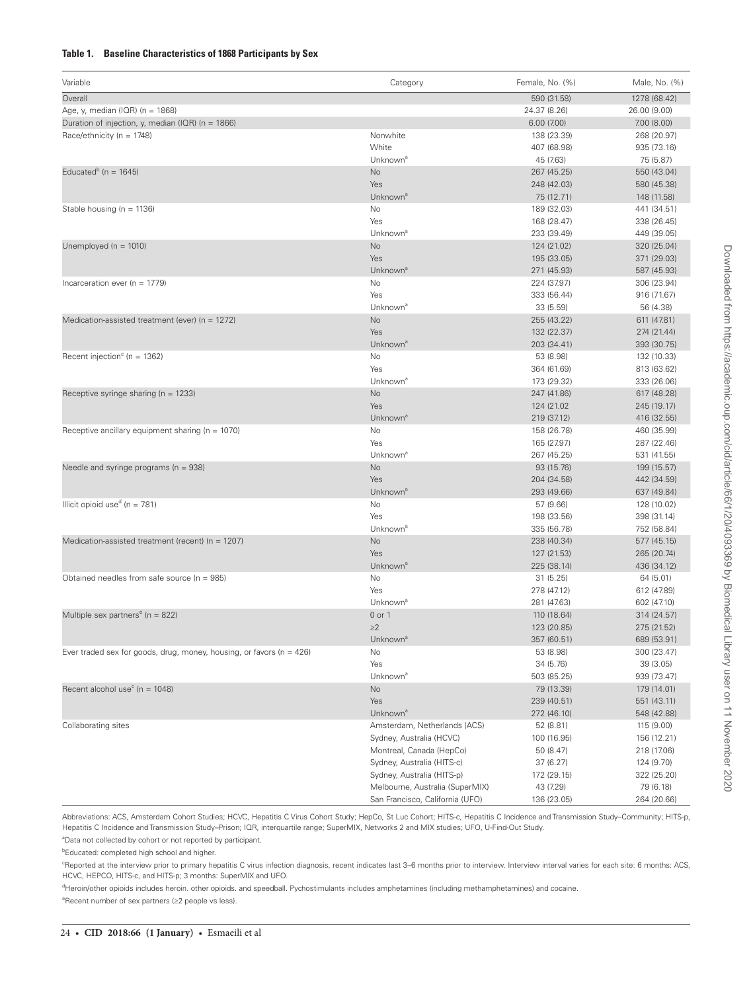#### **Table 1. Baseline Characteristics of 1868 Participants by Sex**

| Variable                                                                 | Category                        | Female, No. (%)          | Male, No. (%) |
|--------------------------------------------------------------------------|---------------------------------|--------------------------|---------------|
| Overall                                                                  |                                 | 590 (31.58)              | 1278 (68.42)  |
| Age, y, median (IQR) (n = 1868)                                          |                                 | 24.37 (8.26)             | 26.00 (9.00)  |
| Duration of injection, y, median (IQR) ( $n = 1866$ )                    |                                 | 6.00(7.00)               | 7.00 (8.00)   |
| Race/ethnicity ( $n = 1748$ )                                            | Nonwhite                        | 138 (23.39)              | 268 (20.97)   |
|                                                                          | White                           | 407 (68.98)              | 935 (73.16)   |
|                                                                          | Unknown <sup>a</sup>            | 45 (7.63)                | 75 (5.87)     |
| Educated <sup>b</sup> (n = 1645)                                         | No                              | 267 (45.25)              | 550 (43.04)   |
|                                                                          | Yes                             | 248 (42.03)              | 580 (45.38)   |
|                                                                          | Unknown <sup>a</sup>            | 75 (12.71)               | 148 (11.58)   |
| Stable housing ( $n = 1136$ )                                            | No                              | 189 (32.03)              | 441 (34.51)   |
|                                                                          | Yes                             | 168 (28.47)              | 338 (26.45)   |
|                                                                          | Unknown <sup>a</sup>            | 233 (39.49)              | 449 (39.05)   |
| Unemployed ( $n = 1010$ )                                                | No                              | 124 (21.02)              | 320 (25.04)   |
|                                                                          | Yes                             | 195 (33.05)              | 371 (29.03)   |
|                                                                          | Unknown <sup>a</sup>            | 271 (45.93)              | 587 (45.93)   |
| Incarceration ever ( $n = 1779$ )                                        | No                              | 224 (37.97)              | 306 (23.94)   |
|                                                                          | Yes                             | 333 (56.44)              | 916 (71.67)   |
|                                                                          | Unknown <sup>a</sup>            | 33 (5.59)                | 56 (4.38)     |
| Medication-assisted treatment (ever) ( $n = 1272$ )                      | No                              | 255 (43.22)              | 611 (47.81)   |
|                                                                          | Yes                             | 132 (22.37)              | 274 (21.44)   |
|                                                                          | Unknown <sup>a</sup>            | 203 (34.41)              | 393 (30.75)   |
| Recent injection <sup>c</sup> ( $n = 1362$ )                             | No                              |                          |               |
|                                                                          | Yes                             | 53 (8.98)<br>364 (61.69) | 132 (10.33)   |
|                                                                          |                                 |                          | 813 (63.62)   |
|                                                                          | Unknown <sup>a</sup>            | 173 (29.32)              | 333 (26.06)   |
| Receptive syringe sharing ( $n = 1233$ )                                 | No                              | 247 (41.86)              | 617 (48.28)   |
|                                                                          | Yes                             | 124 (21.02)              | 245 (19.17)   |
|                                                                          | Unknown <sup>a</sup>            | 219 (37.12)              | 416 (32.55)   |
| Receptive ancillary equipment sharing ( $n = 1070$ )                     | No                              | 158 (26.78)              | 460 (35.99)   |
|                                                                          | Yes                             | 165 (27.97)              | 287 (22.46)   |
|                                                                          | Unknown <sup>a</sup>            | 267 (45.25)              | 531 (41.55)   |
| Needle and syringe programs ( $n = 938$ )                                | No                              | 93 (15.76)               | 199 (15.57)   |
|                                                                          | Yes                             | 204 (34.58)              | 442 (34.59)   |
|                                                                          | Unknown <sup>a</sup>            | 293 (49.66)              | 637 (49.84)   |
| Illicit opioid use <sup>d</sup> ( $n = 781$ )                            | No                              | 57 (9.66)                | 128 (10.02)   |
|                                                                          | Yes                             | 198 (33.56)              | 398 (31.14)   |
|                                                                          | Unknown <sup>a</sup>            | 335 (56.78)              | 752 (58.84)   |
| Medication-assisted treatment (recent) ( $n = 1207$ )                    | No                              | 238 (40.34)              | 577 (45.15)   |
|                                                                          | Yes                             | 127 (21.53)              | 265 (20.74)   |
|                                                                          | Unknown <sup>a</sup>            | 225 (38.14)              | 436 (34.12)   |
| Obtained needles from safe source (n = 985)                              | No                              | 31(5.25)                 | 64 (5.01)     |
|                                                                          | Yes                             | 278 (47.12)              | 612 (47.89)   |
|                                                                          | Unknown <sup>a</sup>            | 281 (47.63)              | 602 (47.10)   |
| Multiple sex partners <sup>e</sup> (n = 822)                             | 0 or 1                          | 110 (18.64)              | 314 (24.57)   |
|                                                                          | $\geq$ 2                        | 123 (20.85)              | 275 (21.52)   |
|                                                                          | Unknown <sup>a</sup>            | 357 (60.51)              | 689 (53.91)   |
| Ever traded sex for goods, drug, money, housing, or favors ( $n = 426$ ) | No                              | 53 (8.98)                | 300 (23.47)   |
|                                                                          | Yes                             | 34 (5.76)                | 39 (3.05)     |
|                                                                          | Unknown <sup>a</sup>            | 503 (85.25)              | 939 (73.47)   |
| Recent alcohol use <sup>c</sup> (n = 1048)                               | No                              | 79 (13.39)               | 179 (14.01)   |
|                                                                          | Yes                             | 239 (40.51)              | 551 (43.11)   |
|                                                                          | Unknown <sup>a</sup>            | 272 (46.10)              | 548 (42.88)   |
| Collaborating sites                                                      | Amsterdam, Netherlands (ACS)    | 52 (8.81)                | 115 (9.00)    |
|                                                                          | Sydney, Australia (HCVC)        | 100 (16.95)              | 156 (12.21)   |
|                                                                          | Montreal, Canada (HepCo)        | 50 (8.47)                | 218 (17.06)   |
|                                                                          | Sydney, Australia (HITS-c)      | 37 (6.27)                | 124 (9.70)    |
|                                                                          | Sydney, Australia (HITS-p)      | 172 (29.15)              | 322 (25.20)   |
|                                                                          | Melbourne, Australia (SuperMIX) | 43 (7.29)                | 79 (6.18)     |
|                                                                          | San Francisco, California (UFO) | 136 (23.05)              | 264 (20.66)   |

Abbreviations: ACS, Amsterdam Cohort Studies; HCVC, Hepatitis C Virus Cohort Study; HepCo, St Luc Cohort; HITS-c, Hepatitis C Incidence and Transmission Study–Community; HITS-p, Hepatitis C Incidence and Transmission Study–Prison; IQR, interquartile range; SuperMIX, Networks 2 and MIX studies; UFO, U-Find-Out Study.

<sup>a</sup>Data not collected by cohort or not reported by participant.

**Educated: completed high school and higher.** 

c Reported at the interview prior to primary hepatitis C virus infection diagnosis, recent indicates last 3–6 months prior to interview. Interview interval varies for each site: 6 months: ACS, HCVC, HEPCO, HITS-c, and HITS-p; 3 months: SuperMIX and UFO.

<sup>d</sup>Heroin/other opioids includes heroin. other opioids. and speedball. Pychostimulants includes amphetamines (including methamphetamines) and cocaine.

e Recent number of sex partners (≥2 people vs less).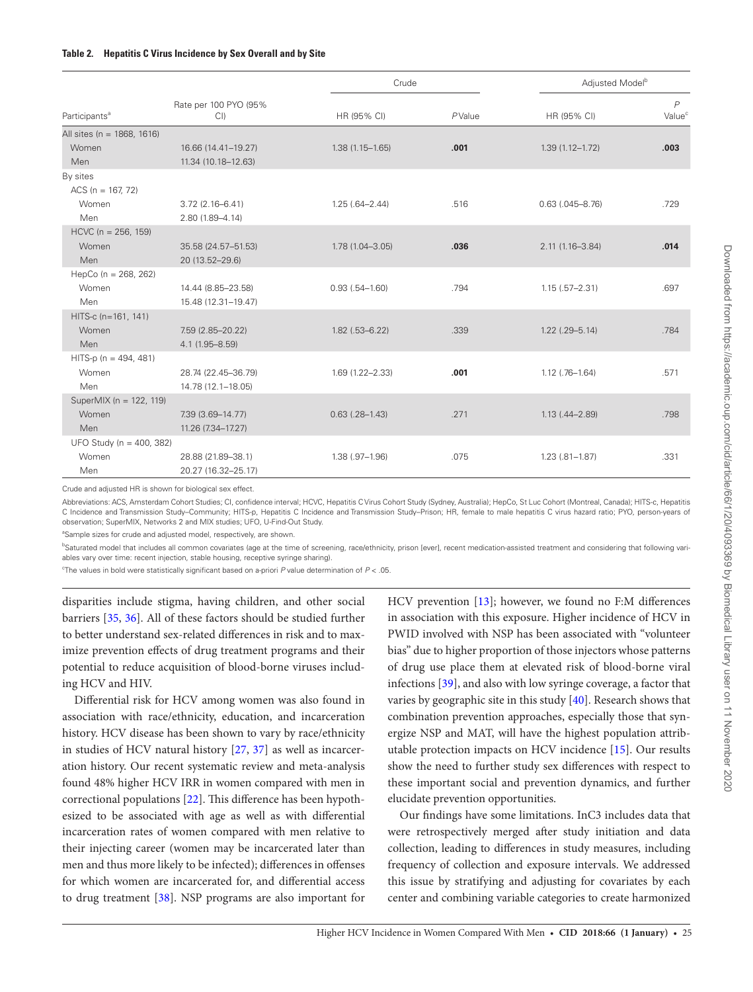#### **Table 2. Hepatitis C Virus Incidence by Sex Overall and by Site**

|                              |                             | Crude                 |        | Adjusted Model <sup>b</sup> |                                      |
|------------------------------|-----------------------------|-----------------------|--------|-----------------------------|--------------------------------------|
| Participants <sup>a</sup>    | Rate per 100 PYO (95%<br>Cl | HR (95% CI)           | PValue | HR (95% CI)                 | $\overline{P}$<br>Value <sup>c</sup> |
| All sites (n = 1868, 1616)   |                             |                       |        |                             |                                      |
| Women                        | 16.66 (14.41-19.27)         | $1.38(1.15 - 1.65)$   | .001   | $1.39(1.12 - 1.72)$         | .003                                 |
| Men                          | 11.34 (10.18-12.63)         |                       |        |                             |                                      |
| By sites                     |                             |                       |        |                             |                                      |
| ACS ( $n = 167, 72$ )        |                             |                       |        |                             |                                      |
| Women                        | $3.72(2.16 - 6.41)$         | $1.25(.64 - 2.44)$    | .516   | $0.63$ $(.045 - 8.76)$      | .729                                 |
| Men                          | $2.80(1.89 - 4.14)$         |                       |        |                             |                                      |
| $HCVC$ (n = 256, 159)        |                             |                       |        |                             |                                      |
| Women                        | 35.58 (24.57-51.53)         | $1.78(1.04 - 3.05)$   | .036   | $2.11(1.16 - 3.84)$         | .014                                 |
| Men                          | 20 (13.52-29.6)             |                       |        |                             |                                      |
| HepCo ( $n = 268$ , 262)     |                             |                       |        |                             |                                      |
| Women                        | 14.44 (8.85-23.58)          | $0.93(.54 - 1.60)$    | .794   | $1.15(.57 - 2.31)$          | .697                                 |
| Men                          | 15.48 (12.31-19.47)         |                       |        |                             |                                      |
| HITS-c (n=161, 141)          |                             |                       |        |                             |                                      |
| Women                        | 7.59 (2.85-20.22)           | $1.82$ $(.53 - 6.22)$ | .339   | $1.22$ $(.29-5.14)$         | .784                                 |
| Men                          | 4.1 (1.95-8.59)             |                       |        |                             |                                      |
| $HITS-p (n = 494, 481)$      |                             |                       |        |                             |                                      |
| Women                        | 28.74 (22.45-36.79)         | $1.69(1.22 - 2.33)$   | .001   | $1.12$ $(.76 - 1.64)$       | .571                                 |
| Men                          | 14.78 (12.1-18.05)          |                       |        |                             |                                      |
| SuperMIX (n = 122, 119)      |                             |                       |        |                             |                                      |
| Women                        | 7.39 (3.69-14.77)           | $0.63$ $(.28-1.43)$   | .271   | $1.13(.44 - 2.89)$          | .798                                 |
| Men                          | 11.26 (7.34-17.27)          |                       |        |                             |                                      |
| UFO Study ( $n = 400, 382$ ) |                             |                       |        |                             |                                      |
| Women                        | 28.88 (21.89-38.1)          | $1.38$ $(.97-1.96)$   | .075   | $1.23(.81 - 1.87)$          | .331                                 |
| Men                          | 20.27 (16.32-25.17)         |                       |        |                             |                                      |

Crude and adjusted HR is shown for biological sex effect.

Abbreviations: ACS, Amsterdam Cohort Studies; CI, confidence interval; HCVC, Hepatitis C Virus Cohort Study (Sydney, Australia); HepCo, St Luc Cohort (Montreal, Canada); HITS-c, Hepatitis C Incidence and Transmission Study–Community; HITS-p, Hepatitis C Incidence and Transmission Study–Prison; HR, female to male hepatitis C virus hazard ratio; PYO, person-years of observation; SuperMIX, Networks 2 and MIX studies; UFO, U-Find-Out Study.

<sup>a</sup>Sample sizes for crude and adjusted model, respectively, are shown.

bSaturated model that includes all common covariates (age at the time of screening, race/ethnicity, prison [ever], recent medication-assisted treatment and considering that following variables vary over time: recent injection, stable housing, receptive syringe sharing).

c The values in bold were statistically significant based on a-priori *P* value determination of *P* < .05.

disparities include stigma, having children, and other social barriers [35, 36]. All of these factors should be studied further to better understand sex-related differences in risk and to maximize prevention effects of drug treatment programs and their potential to reduce acquisition of blood-borne viruses including HCV and HIV.

Differential risk for HCV among women was also found in association with race/ethnicity, education, and incarceration history. HCV disease has been shown to vary by race/ethnicity in studies of HCV natural history [27, 37] as well as incarceration history. Our recent systematic review and meta-analysis found 48% higher HCV IRR in women compared with men in correctional populations [22]. This difference has been hypothesized to be associated with age as well as with differential incarceration rates of women compared with men relative to their injecting career (women may be incarcerated later than men and thus more likely to be infected); differences in offenses for which women are incarcerated for, and differential access to drug treatment [38]. NSP programs are also important for

HCV prevention [13]; however, we found no F:M differences in association with this exposure. Higher incidence of HCV in PWID involved with NSP has been associated with "volunteer bias" due to higher proportion of those injectors whose patterns of drug use place them at elevated risk of blood-borne viral infections [39], and also with low syringe coverage, a factor that varies by geographic site in this study [40]. Research shows that combination prevention approaches, especially those that synergize NSP and MAT, will have the highest population attributable protection impacts on HCV incidence [15]. Our results show the need to further study sex differences with respect to these important social and prevention dynamics, and further elucidate prevention opportunities.

Our findings have some limitations. InC3 includes data that were retrospectively merged after study initiation and data collection, leading to differences in study measures, including frequency of collection and exposure intervals. We addressed this issue by stratifying and adjusting for covariates by each center and combining variable categories to create harmonized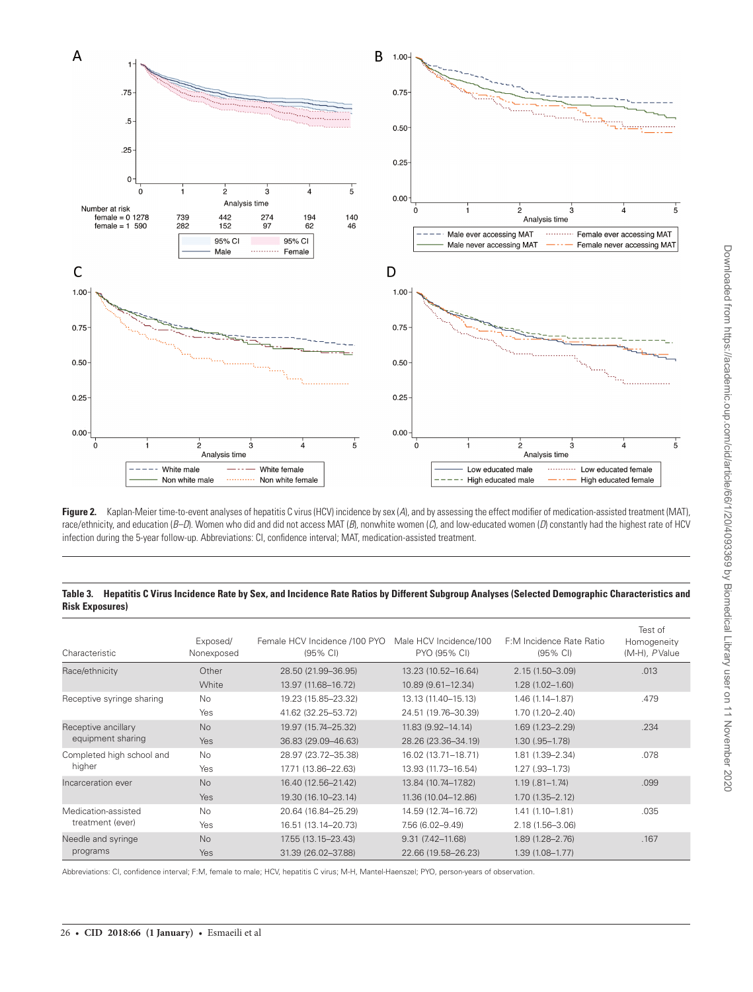

**Figure 2.** Kaplan-Meier time-to-event analyses of hepatitis C virus (HCV) incidence by sex (*A*), and by assessing the effect modifier of medication-assisted treatment (MAT), race/ethnicity, and education (*B–D*). Women who did and did not access MAT (*B*), nonwhite women (*C*), and low-educated women (*D*) constantly had the highest rate of HCV infection during the 5-year follow-up. Abbreviations: CI, confidence interval; MAT, medication-assisted treatment.

### **Table 3. Hepatitis C Virus Incidence Rate by Sex, and Incidence Rate Ratios by Different Subgroup Analyses (Selected Demographic Characteristics and Risk Exposures)**

| Characteristic                           | Exposed/<br>Nonexposed | Female HCV Incidence /100 PYO<br>$(95% \text{ Cl})$ | Male HCV Incidence/100<br>PYO (95% CI) | F:M Incidence Rate Ratio<br>$(95% \text{ Cl})$ | Test of<br>Homogeneity<br>(M-H), PValue |
|------------------------------------------|------------------------|-----------------------------------------------------|----------------------------------------|------------------------------------------------|-----------------------------------------|
| Race/ethnicity                           | Other                  | 28.50 (21.99-36.95)                                 | 13.23 (10.52-16.64)                    | $2.15(1.50 - 3.09)$                            | .013                                    |
|                                          | White                  | 13.97 (11.68-16.72)                                 | 10.89 (9.61-12.34)                     | $1.28(1.02 - 1.60)$                            |                                         |
| Receptive syringe sharing                | <b>No</b>              | 19.23 (15.85-23.32)                                 | 13.13 (11.40-15.13)                    | $1.46(1.14 - 1.87)$                            | .479                                    |
|                                          | Yes                    | 41.62 (32.25-53.72)                                 | 24.51 (19.76-30.39)                    | $1.70(1.20 - 2.40)$                            |                                         |
| Receptive ancillary<br>equipment sharing | <b>No</b>              | 19.97 (15.74-25.32)                                 | 11.83 (9.92-14.14)                     | $1.69(1.23 - 2.29)$                            | .234                                    |
|                                          | Yes                    | 36.83 (29.09-46.63)                                 | 28.26 (23.36-34.19)                    | $1.30$ $(.95 - 1.78)$                          |                                         |
| Completed high school and<br>higher      | <b>No</b>              | 28.97 (23.72-35.38)                                 | 16.02 (13.71-18.71)                    | $1.81(1.39 - 2.34)$                            | .078                                    |
|                                          | Yes                    | 17.71 (13.86-22.63)                                 | 13.93 (11.73-16.54)                    | $1.27$ $(.93 - 1.73)$                          |                                         |
| Incarceration ever                       | No                     | 16.40 (12.56-21.42)                                 | 13.84 (10.74-17.82)                    | $1.19(.81 - 1.74)$                             | .099                                    |
|                                          | Yes                    | 19.30 (16.10-23.14)                                 | 11.36 (10.04-12.86)                    | $1.70(1.35 - 2.12)$                            |                                         |
| Medication-assisted<br>treatment (ever)  | <b>No</b>              | 20.64 (16.84-25.29)                                 | 14.59 (12.74-16.72)                    | $1.41(1.10-1.81)$                              | .035                                    |
|                                          | Yes                    | 16.51 (13.14-20.73)                                 | 7.56 (6.02-9.49)                       | $2.18(1.56 - 3.06)$                            |                                         |
| Needle and syringe<br>programs           | <b>No</b>              | 17.55 (13.15-23.43)                                 | $9.31(7.42 - 11.68)$                   | $1.89(1.28 - 2.76)$                            | .167                                    |
|                                          | Yes                    | 31.39 (26.02-37.88)                                 | 22.66 (19.58-26.23)                    | $1.39(1.08 - 1.77)$                            |                                         |

Abbreviations: CI, confidence interval; F:M, female to male; HCV, hepatitis C virus; M-H, Mantel-Haenszel; PYO, person-years of observation.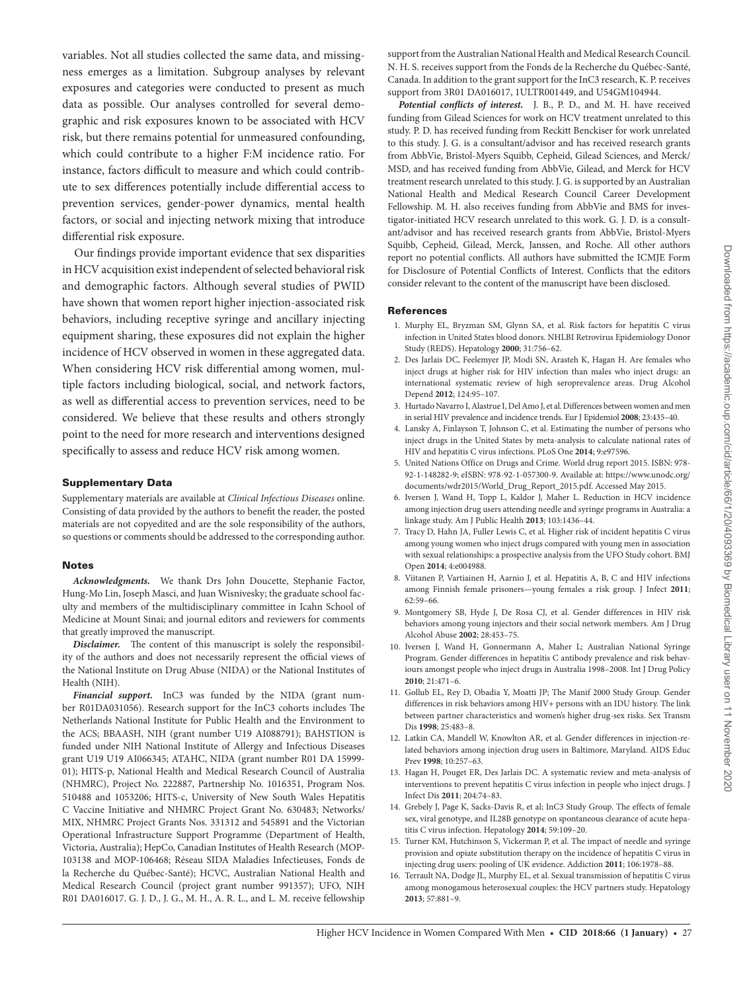variables. Not all studies collected the same data, and missingness emerges as a limitation. Subgroup analyses by relevant exposures and categories were conducted to present as much data as possible. Our analyses controlled for several demographic and risk exposures known to be associated with HCV risk, but there remains potential for unmeasured confounding, which could contribute to a higher F:M incidence ratio. For instance, factors difficult to measure and which could contribute to sex differences potentially include differential access to prevention services, gender-power dynamics, mental health factors, or social and injecting network mixing that introduce differential risk exposure.

Our findings provide important evidence that sex disparities in HCV acquisition exist independent of selected behavioral risk and demographic factors. Although several studies of PWID have shown that women report higher injection-associated risk behaviors, including receptive syringe and ancillary injecting equipment sharing, these exposures did not explain the higher incidence of HCV observed in women in these aggregated data. When considering HCV risk differential among women, multiple factors including biological, social, and network factors, as well as differential access to prevention services, need to be considered. We believe that these results and others strongly point to the need for more research and interventions designed specifically to assess and reduce HCV risk among women.

#### Supplementary Data

Supplementary materials are available at *Clinical Infectious Diseases* online. Consisting of data provided by the authors to benefit the reader, the posted materials are not copyedited and are the sole responsibility of the authors, so questions or comments should be addressed to the corresponding author.

#### Notes

*Acknowledgments.* We thank Drs John Doucette, Stephanie Factor, Hung-Mo Lin, Joseph Masci, and Juan Wisnivesky; the graduate school faculty and members of the multidisciplinary committee in Icahn School of Medicine at Mount Sinai; and journal editors and reviewers for comments that greatly improved the manuscript.

*Disclaimer.* The content of this manuscript is solely the responsibility of the authors and does not necessarily represent the official views of the National Institute on Drug Abuse (NIDA) or the National Institutes of Health (NIH).

*Financial support.* InC3 was funded by the NIDA (grant number R01DA031056). Research support for the InC3 cohorts includes The Netherlands National Institute for Public Health and the Environment to the ACS; BBAASH, NIH (grant number U19 AI088791); BAHSTION is funded under NIH National Institute of Allergy and Infectious Diseases grant U19 U19 AI066345; ATAHC, NIDA (grant number R01 DA 15999- 01); HITS-p, National Health and Medical Research Council of Australia (NHMRC), Project No. 222887, Partnership No. 1016351, Program Nos. 510488 and 1053206; HITS-c, University of New South Wales Hepatitis C Vaccine Initiative and NHMRC Project Grant No. 630483; Networks/ MIX, NHMRC Project Grants Nos. 331312 and 545891 and the Victorian Operational Infrastructure Support Programme (Department of Health, Victoria, Australia); HepCo, Canadian Institutes of Health Research (MOP-103138 and MOP-106468; Réseau SIDA Maladies Infectieuses, Fonds de la Recherche du Québec-Santé); HCVC, Australian National Health and Medical Research Council (project grant number 991357); UFO, NIH R01 DA016017. G. J. D., J. G., M. H., A. R. L., and L. M. receive fellowship support from the Australian National Health and Medical Research Council. N. H. S. receives support from the Fonds de la Recherche du Québec-Santé, Canada. In addition to the grant support for the InC3 research, K. P. receives support from 3R01 DA016017, 1ULTR001449, and U54GM104944.

Potential conflicts of interest. J. B., P. D., and M. H. have received funding from Gilead Sciences for work on HCV treatment unrelated to this study. P. D. has received funding from Reckitt Benckiser for work unrelated to this study. J. G. is a consultant/advisor and has received research grants from AbbVie, Bristol-Myers Squibb, Cepheid, Gilead Sciences, and Merck/ MSD, and has received funding from AbbVie, Gilead, and Merck for HCV treatment research unrelated to this study. J. G. is supported by an Australian National Health and Medical Research Council Career Development Fellowship. M. H. also receives funding from AbbVie and BMS for investigator-initiated HCV research unrelated to this work. G. J. D. is a consultant/advisor and has received research grants from AbbVie, Bristol-Myers Squibb, Cepheid, Gilead, Merck, Janssen, and Roche. All other authors report no potential conflicts. All authors have submitted the ICMJE Form for Disclosure of Potential Conflicts of Interest. Conflicts that the editors consider relevant to the content of the manuscript have been disclosed.

#### **References**

- 1. Murphy EL, Bryzman SM, Glynn SA, et al. Risk factors for hepatitis C virus infection in United States blood donors. NHLBI Retrovirus Epidemiology Donor Study (REDS). Hepatology **2000**; 31:756–62.
- 2. Des Jarlais DC, Feelemyer JP, Modi SN, Arasteh K, Hagan H. Are females who inject drugs at higher risk for HIV infection than males who inject drugs: an international systematic review of high seroprevalence areas. Drug Alcohol Depend **2012**; 124:95–107.
- 3. Hurtado Navarro I, Alastrue I, Del Amo J, et al. Differences between women and men in serial HIV prevalence and incidence trends. Eur J Epidemiol **2008**; 23:435–40.
- 4. Lansky A, Finlayson T, Johnson C, et al. Estimating the number of persons who inject drugs in the United States by meta-analysis to calculate national rates of HIV and hepatitis C virus infections. PLoS One **2014**; 9:e97596.
- 5. United Nations Office on Drugs and Crime. World drug report 2015. ISBN: 978- 92-1-148282-9; eISBN: 978-92-1-057300-9. Available at: https://www.unodc.org/ documents/wdr2015/World\_Drug\_Report\_2015.pdf. Accessed May 2015.
- 6. Iversen J, Wand H, Topp L, Kaldor J, Maher L. Reduction in HCV incidence among injection drug users attending needle and syringe programs in Australia: a linkage study. Am J Public Health **2013**; 103:1436–44.
- 7. Tracy D, Hahn JA, Fuller Lewis C, et al. Higher risk of incident hepatitis C virus among young women who inject drugs compared with young men in association with sexual relationships: a prospective analysis from the UFO Study cohort. BMJ Open **2014**; 4:e004988.
- 8. Viitanen P, Vartiainen H, Aarnio J, et al. Hepatitis A, B, C and HIV infections among Finnish female prisoners—young females a risk group. J Infect **2011**; 62:59–66.
- 9. Montgomery SB, Hyde J, De Rosa CJ, et al. Gender differences in HIV risk behaviors among young injectors and their social network members. Am J Drug Alcohol Abuse **2002**; 28:453–75.
- 10. Iversen J, Wand H, Gonnermann A, Maher L; Australian National Syringe Program. Gender differences in hepatitis C antibody prevalence and risk behaviours amongst people who inject drugs in Australia 1998–2008. Int J Drug Policy **2010**; 21:471–6.
- 11. Gollub EL, Rey D, Obadia Y, Moatti JP; The Manif 2000 Study Group. Gender differences in risk behaviors among HIV+ persons with an IDU history. The link between partner characteristics and women's higher drug-sex risks. Sex Transm Dis **1998**; 25:483–8.
- 12. Latkin CA, Mandell W, Knowlton AR, et al. Gender differences in injection-related behaviors among injection drug users in Baltimore, Maryland. AIDS Educ Prev **1998**; 10:257–63.
- 13. Hagan H, Pouget ER, Des Jarlais DC. A systematic review and meta-analysis of interventions to prevent hepatitis C virus infection in people who inject drugs. J Infect Dis **2011**; 204:74–83.
- 14. Grebely J, Page K, Sacks-Davis R, et al; InC3 Study Group. The effects of female sex, viral genotype, and IL28B genotype on spontaneous clearance of acute hepatitis C virus infection. Hepatology **2014**; 59:109–20.
- 15. Turner KM, Hutchinson S, Vickerman P, et al. The impact of needle and syringe provision and opiate substitution therapy on the incidence of hepatitis C virus in injecting drug users: pooling of UK evidence. Addiction **2011**; 106:1978–88.
- 16. Terrault NA, Dodge JL, Murphy EL, et al. Sexual transmission of hepatitis C virus among monogamous heterosexual couples: the HCV partners study. Hepatology **2013**; 57:881–9.